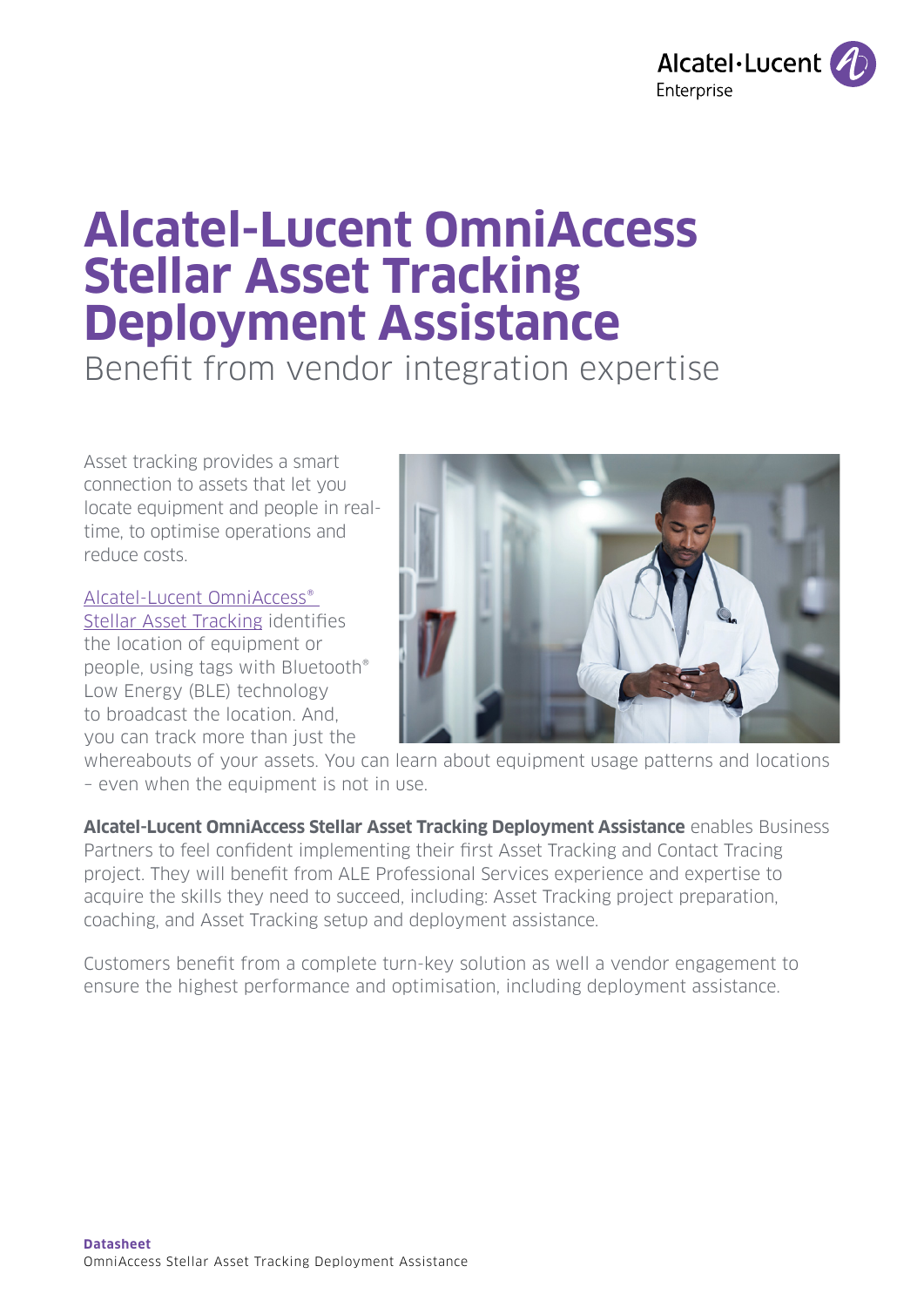

# **Alcatel-Lucent OmniAccess Stellar Asset Tracking Deployment Assistance**

Benefit from vendor integration expertise

Asset tracking provides a smart connection to assets that let you locate equipment and people in realtime, to optimise operations and reduce costs.

[Alcatel-Lucent OmniAccess®](https://www.al-enterprise.com/en/products/asset-tracking?utm_source=digital-asset&utm_medium=pdf&utm_campaign=doc-link) 

[Stellar Asset Tracking](https://www.al-enterprise.com/en/products/asset-tracking?utm_source=digital-asset&utm_medium=pdf&utm_campaign=doc-link) identifies the location of equipment or people, using tags with Bluetooth® Low Energy (BLE) technology to broadcast the location. And, you can track more than just the



whereabouts of your assets. You can learn about equipment usage patterns and locations – even when the equipment is not in use.

**Alcatel-Lucent OmniAccess Stellar Asset Tracking Deployment Assistance** enables Business Partners to feel confident implementing their first Asset Tracking and Contact Tracing project. They will benefit from ALE Professional Services experience and expertise to acquire the skills they need to succeed, including: Asset Tracking project preparation, coaching, and Asset Tracking setup and deployment assistance.

Customers benefit from a complete turn-key solution as well a vendor engagement to ensure the highest performance and optimisation, including deployment assistance.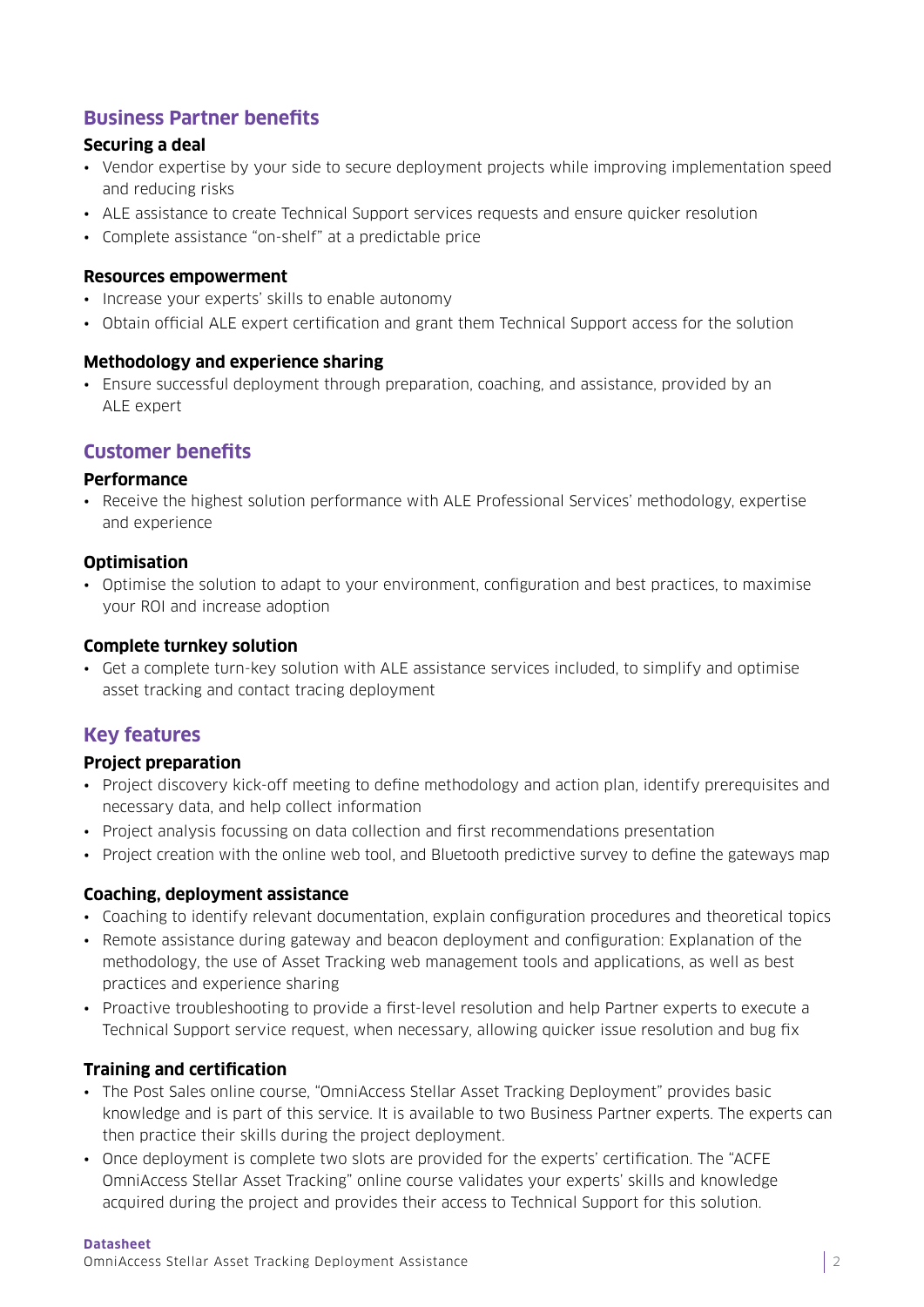## **Business Partner benefits**

#### **Securing a deal**

- Vendor expertise by your side to secure deployment projects while improving implementation speed and reducing risks
- ALE assistance to create Technical Support services requests and ensure quicker resolution
- Complete assistance "on-shelf" at a predictable price

#### **Resources empowerment**

- Increase your experts' skills to enable autonomy
- Obtain official ALE expert certification and grant them Technical Support access for the solution

#### **Methodology and experience sharing**

• Ensure successful deployment through preparation, coaching, and assistance, provided by an ALE expert

## **Customer benefits**

#### **Performance**

• Receive the highest solution performance with ALE Professional Services' methodology, expertise and experience

#### **Optimisation**

• Optimise the solution to adapt to your environment, configuration and best practices, to maximise your ROI and increase adoption

#### **Complete turnkey solution**

• Get a complete turn-key solution with ALE assistance services included, to simplify and optimise asset tracking and contact tracing deployment

## **Key features**

#### **Project preparation**

- Project discovery kick-off meeting to define methodology and action plan, identify prerequisites and necessary data, and help collect information
- Project analysis focussing on data collection and first recommendations presentation
- Project creation with the online web tool, and Bluetooth predictive survey to define the gateways map

#### **Coaching, deployment assistance**

- Coaching to identify relevant documentation, explain configuration procedures and theoretical topics
- Remote assistance during gateway and beacon deployment and configuration: Explanation of the methodology, the use of Asset Tracking web management tools and applications, as well as best practices and experience sharing
- Proactive troubleshooting to provide a first-level resolution and help Partner experts to execute a Technical Support service request, when necessary, allowing quicker issue resolution and bug fix

#### **Training and certification**

- The Post Sales online course, "OmniAccess Stellar Asset Tracking Deployment" provides basic knowledge and is part of this service. It is available to two Business Partner experts. The experts can then practice their skills during the project deployment.
- Once deployment is complete two slots are provided for the experts' certification. The "ACFE OmniAccess Stellar Asset Tracking" online course validates your experts' skills and knowledge acquired during the project and provides their access to Technical Support for this solution.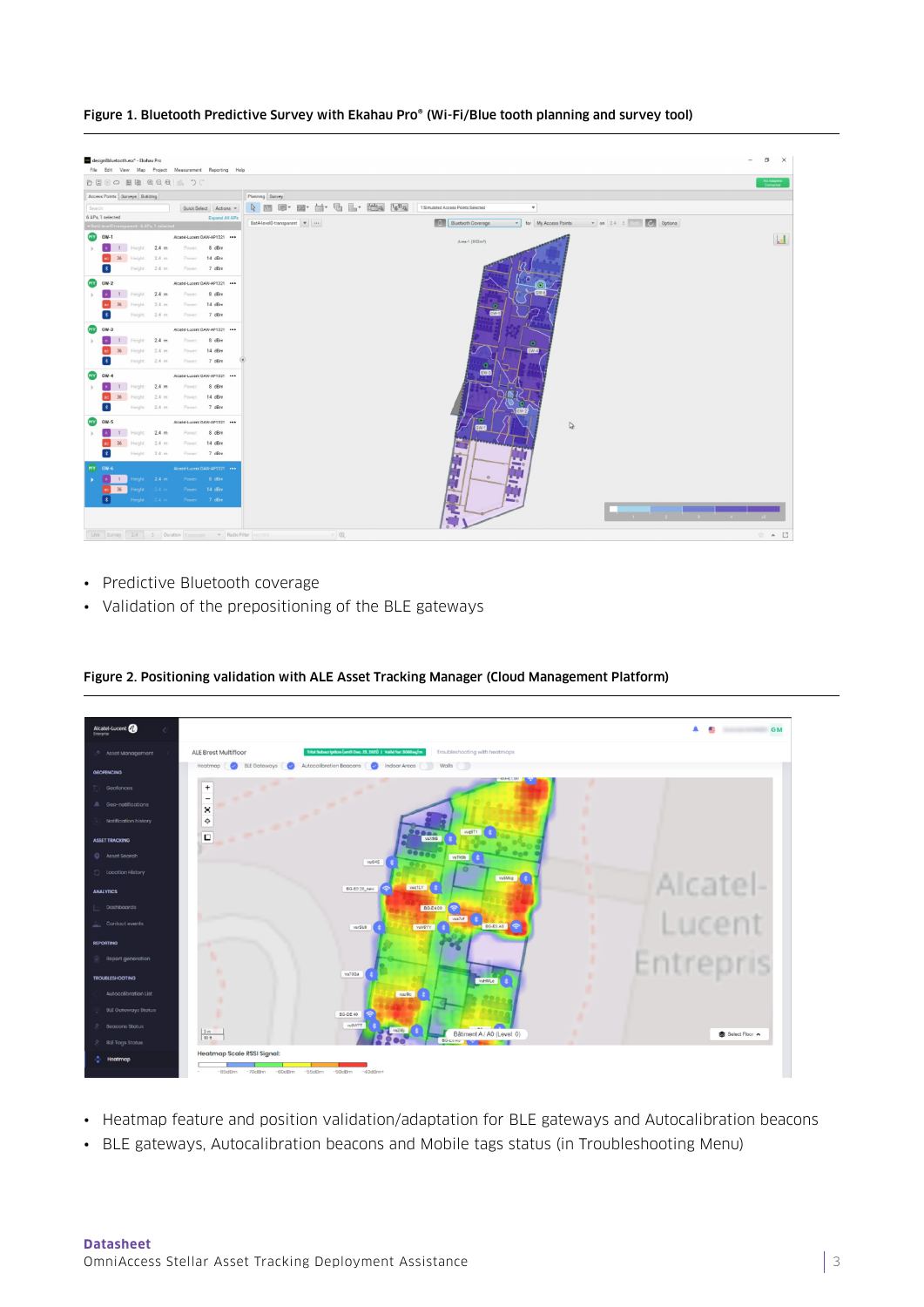Figure 1. Bluetooth Predictive Survey with Ekahau Pro® (Wi-Fi/Blue tooth planning and survey tool)

|                              | <b>DEEO BE QQQ IL OC</b>                     |                        |                      |                               |                                                                                                                                                                                                                                                     | No Adapters<br>Connected |
|------------------------------|----------------------------------------------|------------------------|----------------------|-------------------------------|-----------------------------------------------------------------------------------------------------------------------------------------------------------------------------------------------------------------------------------------------------|--------------------------|
|                              | Access Points Surveys Building               |                        |                      |                               | Planning Survey                                                                                                                                                                                                                                     |                          |
| Search                       |                                              |                        | Quick Select Actions |                               | $\begin{bmatrix} 1 & 0 \\ 0 & 1 \end{bmatrix}$ . $\begin{bmatrix} 1 & 0 \\ 0 & 1 \end{bmatrix}$ , $\begin{bmatrix} 1 & 0 \\ 0 & 1 \end{bmatrix}$<br>台·<br>$\mathbb{R}$ m $\mathbb{R}$ .<br>四、<br>1 Simulated Access Points Selected<br>$\mathbf{v}$ |                          |
| 6 APs, 1 selected            |                                              |                        |                      | Expand All APs                | 而<br>$\bullet$ on 2.4 5 Beth $\bullet$ Options<br><b>Bluetooth Coverage</b><br>BatA-levelO-transparent v<br>for My Access Points<br>$\cdot$                                                                                                         |                          |
| <b>MY</b><br>$GW-1$          | +BatA-level0-transparent - 6 APs, 1 selected |                        |                      | Alcatel-Lucent CAW-AP1321 *** |                                                                                                                                                                                                                                                     |                          |
|                              | Height: 2.4 m                                |                        |                      | Power: 8 dBm                  | Area-1 (852m <sup>*</sup> )                                                                                                                                                                                                                         | $\mathbf{L}$             |
|                              | Height:                                      | $2.4$ m                | Power:               | 14 dBm                        |                                                                                                                                                                                                                                                     |                          |
|                              |                                              | Height: 2.4 m          | Power:               | 7 dBm                         |                                                                                                                                                                                                                                                     |                          |
| $GW-2$                       |                                              |                        |                      | Alcatel Lucent CAW-AP1321 *** |                                                                                                                                                                                                                                                     |                          |
|                              |                                              | Height: 2.4 m          | Power:               | 8 dBm                         |                                                                                                                                                                                                                                                     |                          |
|                              | Height:                                      | 2.4 m                  | Power:               | $14$ dBm                      |                                                                                                                                                                                                                                                     |                          |
|                              | Height:                                      | $2.4$ m                | Power:               | 7 dBm                         |                                                                                                                                                                                                                                                     |                          |
| $GW-3$                       |                                              |                        |                      | Alcatel-Lucent CAW-AP1321     |                                                                                                                                                                                                                                                     |                          |
|                              | Height:                                      | 2.4 m                  | <b>Power</b>         | 8 dBm                         | m                                                                                                                                                                                                                                                   |                          |
|                              | leight                                       | 2.4 m                  | Power:               | $14$ dBm                      | GWES                                                                                                                                                                                                                                                |                          |
| $\ast$                       | Height:                                      | 2.4 m                  | Power:               | 7 dBm                         | GW-3                                                                                                                                                                                                                                                |                          |
|                              |                                              |                        |                      | Alcatel-Lucent CAW-AP1321 *** |                                                                                                                                                                                                                                                     |                          |
|                              | Height:                                      | Height: 2.4 m<br>2.4 m | Power:<br>Power:     | 8 dBm<br>14 dBm               |                                                                                                                                                                                                                                                     |                          |
|                              |                                              | Height 2.4 m           |                      | Power: 7 dBm                  |                                                                                                                                                                                                                                                     |                          |
| $GW-5$                       |                                              |                        |                      | Alcatel-Lucent CAW-AP1321 *** |                                                                                                                                                                                                                                                     |                          |
|                              | Height:                                      | $2.4$ m                | Power:               | 8 dBm                         | $\triangleright$                                                                                                                                                                                                                                    |                          |
|                              | Height:                                      | $2.4$ m                | Power:               | $14$ dBm                      |                                                                                                                                                                                                                                                     |                          |
| $\left  \cdot \right\rangle$ |                                              | Height: 2.4 m          | Power:               | 7 dBm                         |                                                                                                                                                                                                                                                     |                          |
| MY GW-6                      |                                              |                        |                      | Alcatel-Lucent CAW-AP1321 *** |                                                                                                                                                                                                                                                     |                          |
|                              | leight:<br>$\blacksquare$                    | 2.4 m                  |                      | Power: 8 dBm                  | $\circ$                                                                                                                                                                                                                                             |                          |
|                              | 36                                           | 2.11                   |                      | Power: 14 dBm                 |                                                                                                                                                                                                                                                     |                          |
| $\vert * \vert$              |                                              | Height: 24 m           |                      | Power: 7 dBm                  |                                                                                                                                                                                                                                                     |                          |
|                              |                                              |                        |                      |                               | $\sim$                                                                                                                                                                                                                                              |                          |

- Predictive Bluetooth coverage
- Validation of the prepositioning of the BLE gateways



Figure 2. Positioning validation with ALE Asset Tracking Manager (Cloud Management Platform)

- Heatmap feature and position validation/adaptation for BLE gateways and Autocalibration beacons
- BLE gateways, Autocalibration beacons and Mobile tags status (in Troubleshooting Menu)